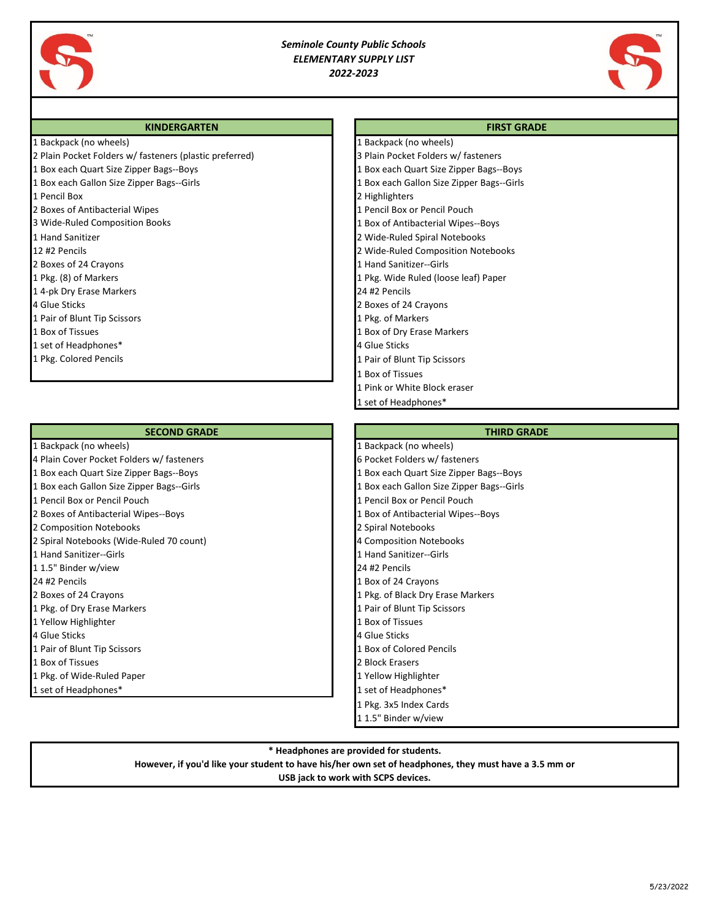

# *Seminole County Public Schools ELEMENTARY SUPPLY LIST 2022-2023*

1 Backpack (no wheels)

1 Box of Tissues

1 Pink or White Block eraser 1 set of Headphones\*



#### **KINDERGARTEN FIRST GRADE**

|  |  |  |  | 1 Backpack (no wheels) |  |
|--|--|--|--|------------------------|--|
|--|--|--|--|------------------------|--|

- 2 Plain Pocket Folders w/ fasteners (plastic preferred) 3 Plain Pocket Folders w/ fasteners 1 Box each Quart Size Zipper Bags--Boys 1 Box each Quart Size Zipper Bags--Boys
- 1 Box each Gallon Size Zipper Bags--Girls 1 Box each Gallon Size Zipper Bags--Girls
- 1 Pencil Box 2 Highlighters
- 2 Boxes of Antibacterial Wipes 1 Pencil Box or Pencil Pouch
- 3 Wide-Ruled Composition Books 1 Box of Antibacterial Wipes--Boys
- 1 Hand Sanitizer 2 Wide-Ruled Spiral Notebooks
- 12 #2 Pencils 2 Wide-Ruled Composition Notebooks
- 2 Boxes of 24 Crayons **1 Hand Sanitizer--Girls** 2 Boxes of 24 Crayons **1 Hand Sanitizer--Girls**
- 1 Pkg. (8) of Markers 1 Pkg. Wide Ruled (loose leaf) Paper
- 1 4-pk Dry Erase Markers 24 #2 Pencils
- 4 Glue Sticks 2 Boxes of 24 Crayons
- 1 Pair of Blunt Tip Scissors 1 Pair of Markers 1 Pkg. of Markers 1 Pkg. of Markers
- 1 Box of Tissues 1 Box of Dry Erase Markers 1 Box of Dry Erase Markers
- 1 set of Headphones\* 4 Glue Sticks
- 1 Pkg. Colored Pencils 1 Pair of Blunt Tip Scissors

#### **SECOND GRADE THIRD GRADE THIRD GRADE**

- 
- 4 Plain Cover Pocket Folders w/ fasteners 6 Pocket Folders w/ fasteners
- 
- 
- 
- 
- 2 Composition Notebooks 2 Spiral Notebooks
- 2 Spiral Notebooks (Wide-Ruled 70 count) 4 Composition Notebooks
- 
- 
- 
- 
- 
- 
- 
- 
- 
- 
- 

1 Backpack (no wheels) 1 Backpack (no wheels) 1 Box each Quart Size Zipper Bags--Boys 1 Box each Quart Size Zipper Bags--Boys 1 Box each Gallon Size Zipper Bags--Girls 1 Box each Gallon Size Zipper Bags--Girls 1 Pencil Box or Pencil Pouch 1 Pencil Box or Pencil Pouch 2 Boxes of Antibacterial Wipes--Boys 1 Box of Antibacterial Wipes--Boys 1 Hand Sanitizer--Girls 1 Hand Sanitizer--Girls 1 1.5" Binder w/view 24 #2 Pencils 24 #2 Pencils 2012 1 Box of 24 Crayons 2 Boxes of 24 Crayons 1 Pkg. of Black Dry Erase Markers 1 Pkg. of Black Dry Erase Markers 1 Pkg. of Dry Erase Markers 1 Pair of Blunt Tip Scissors 1 Pair of Blunt Tip Scissors 1 Yellow Highlighter 1 Box of Tissues 4 Glue Sticks 4 Glue Sticks 1 Pair of Blunt Tip Scissors 1 Box of Colored Pencils **1 Box of Tissues 2 Block Erasers** 2 Block Erasers 1 Pkg. of Wide-Ruled Paper 1 Wide-Ruled Paper 1 Yellow Highlighter 1 set of Headphones\* 1 set of Headphones\* 1 Pkg. 3x5 Index Cards 1 1.5" Binder w/view

### **\* Headphones are provided for students.**

**However, if you'd like your student to have his/her own set of headphones, they must have a 3.5 mm or**

## **USB jack to work with SCPS devices.**